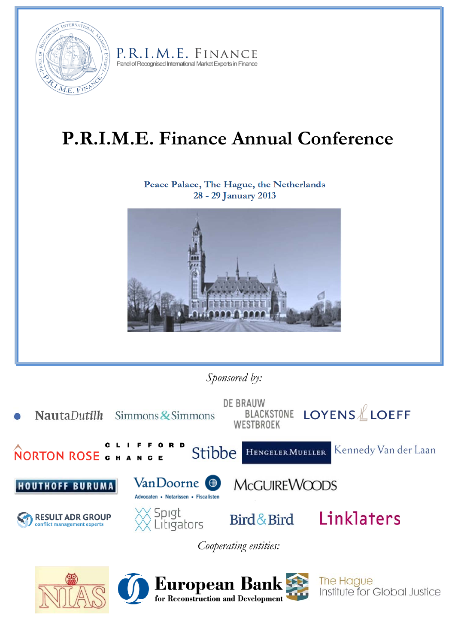

P.R.I.M.E. FINANCE Panel of Recognised International Market Experts in Finance

# **P.R.I.M.E. Finance Annual Conference**

 **Peace Palace, The Hague, the Netherlands 28 - 29 January 2013** 



*Sponsored by:* 



*Cooperating entities:*







The Hague Institute for Global Justice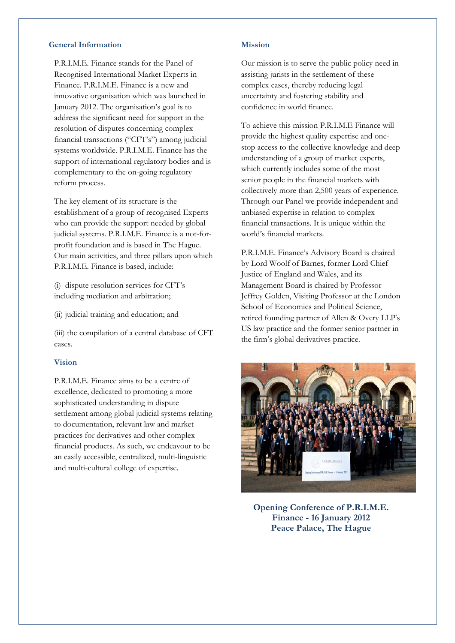# **General Information**

P.R.I.M.E. Finance stands for the Panel of Recognised International Market Experts in Finance. P.R.I.M.E. Finance is a new and innovative organisation which was launched in January 2012. The organisation's goal is to address the significant need for support in the resolution of disputes concerning complex financial transactions ("CFT's") among judicial systems worldwide. P.R.I.M.E. Finance has the support of international regulatory bodies and is complementary to the on-going regulatory reform process.

The key element of its structure is the establishment of a group of recognised Experts who can provide the support needed by global judicial systems. P.R.I.M.E. Finance is a not-forprofit foundation and is based in The Hague. Our main activities, and three pillars upon which P.R.I.M.E. Finance is based, include:

(i) dispute resolution services for CFT's including mediation and arbitration;

(ii) judicial training and education; and

(iii) the compilation of a central database of CFT cases.

#### **Vision**

P.R.I.M.E. Finance aims to be a centre of excellence, dedicated to promoting a more sophisticated understanding in dispute settlement among global judicial systems relating to documentation, relevant law and market practices for derivatives and other complex financial products. As such, we endeavour to be an easily accessible, centralized, multi-linguistic and multi-cultural college of expertise.

# **Mission**

Our mission is to serve the public policy need in assisting jurists in the settlement of these complex cases, thereby reducing legal uncertainty and fostering stability and confidence in world finance.

To achieve this mission P.R.I.M.E Finance will provide the highest quality expertise and onestop access to the collective knowledge and deep understanding of a group of market experts, which currently includes some of the most senior people in the financial markets with collectively more than 2,500 years of experience. Through our Panel we provide independent and unbiased expertise in relation to complex financial transactions. It is unique within the world's financial markets.

P.R.I.M.E. Finance's Advisory Board is chaired by Lord Woolf of Barnes, former Lord Chief Justice of England and Wales, and its Management Board is chaired by Professor Jeffrey Golden, Visiting Professor at the London School of Economics and Political Science, retired founding partner of Allen & Overy LLP's US law practice and the former senior partner in the firm's global derivatives practice.



**Opening Conference of P.R.I.M.E. Finance - 16 January 2012 Peace Palace, The Hague**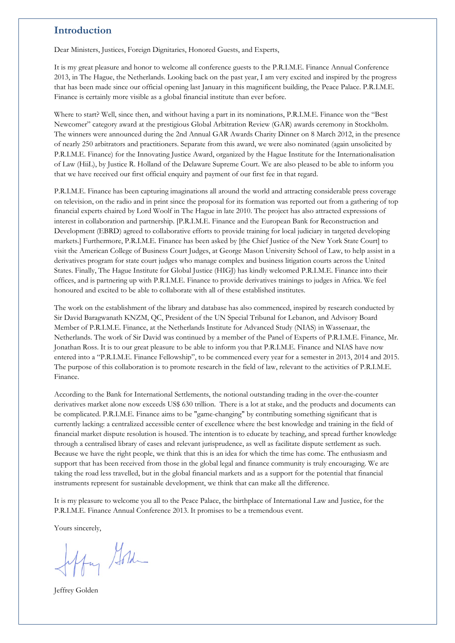# **Introduction**

Dear Ministers, Justices, Foreign Dignitaries, Honored Guests, and Experts,

It is my great pleasure and honor to welcome all conference guests to the P.R.I.M.E. Finance Annual Conference 2013, in The Hague, the Netherlands. Looking back on the past year, I am very excited and inspired by the progress that has been made since our official opening last January in this magnificent building, the Peace Palace. P.R.I.M.E. Finance is certainly more visible as a global financial institute than ever before.

Where to start? Well, since then, and without having a part in its nominations, P.R.I.M.E. Finance won the "Best Newcomer" category award at the prestigious Global Arbitration Review (GAR) awards ceremony in Stockholm. The winners were announced during the 2nd Annual GAR Awards Charity Dinner on 8 March 2012, in the presence of nearly 250 arbitrators and practitioners. Separate from this award, we were also nominated (again unsolicited by P.R.I.M.E. Finance) for the Innovating Justice Award, organized by the Hague Institute for the Internationalisation of Law (HiiL), by Justice R. Holland of the Delaware Supreme Court. We are also pleased to be able to inform you that we have received our first official enquiry and payment of our first fee in that regard.

P.R.I.M.E. Finance has been capturing imaginations all around the world and attracting considerable press coverage on television, on the radio and in print since the proposal for its formation was reported out from a gathering of top financial experts chaired by Lord Woolf in The Hague in late 2010. The project has also attracted expressions of interest in collaboration and partnership. [P.R.I.M.E. Finance and the European Bank for Reconstruction and Development (EBRD) agreed to collaborative efforts to provide training for local judiciary in targeted developing markets.] Furthermore, P.R.I.M.E. Finance has been asked by [the Chief Justice of the New York State Court] to visit the American College of Business Court Judges, at George Mason University School of Law, to help assist in a derivatives program for state court judges who manage complex and business litigation courts across the United States. Finally, The Hague Institute for Global Justice (HIGJ) has kindly welcomed P.R.I.M.E. Finance into their offices, and is partnering up with P.R.I.M.E. Finance to provide derivatives trainings to judges in Africa. We feel honoured and excited to be able to collaborate with all of these established institutes.

The work on the establishment of the library and database has also commenced, inspired by research conducted by Sir David Baragwanath KNZM, QC, President of the UN Special Tribunal for Lebanon, and Advisory Board Member of P.R.I.M.E. Finance, at the Netherlands Institute for Advanced Study (NIAS) in Wassenaar, the Netherlands. The work of Sir David was continued by a member of the Panel of Experts of P.R.I.M.E. Finance, Mr. Jonathan Ross. It is to our great pleasure to be able to inform you that P.R.I.M.E. Finance and NIAS have now entered into a "P.R.I.M.E. Finance Fellowship", to be commenced every year for a semester in 2013, 2014 and 2015. The purpose of this collaboration is to promote research in the field of law, relevant to the activities of P.R.I.M.E. Finance.

According to the Bank for International Settlements, the notional outstanding trading in the over-the-counter derivatives market alone now exceeds US\$ 630 trillion. There is a lot at stake, and the products and documents can be complicated. P.R.I.M.E. Finance aims to be "game-changing" by contributing something significant that is currently lacking: a centralized accessible center of excellence where the best knowledge and training in the field of financial market dispute resolution is housed. The intention is to educate by teaching, and spread further knowledge through a centralised library of cases and relevant jurisprudence, as well as facilitate dispute settlement as such. Because we have the right people, we think that this is an idea for which the time has come. The enthusiasm and support that has been received from those in the global legal and finance community is truly encouraging. We are taking the road less travelled, but in the global financial markets and as a support for the potential that financial instruments represent for sustainable development, we think that can make all the difference.

It is my pleasure to welcome you all to the Peace Palace, the birthplace of International Law and Justice, for the P.R.I.M.E. Finance Annual Conference 2013. It promises to be a tremendous event.

Yours sincerely,

Hay Gord

Jeffrey Golden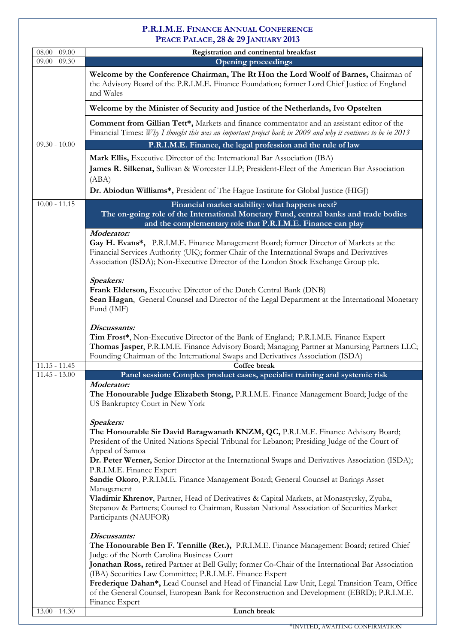# **P.R.I.M.E. FINANCE ANNUAL CONFERENCE PEACE PALACE, 28 & 29 JANUARY 2013**

| $08.00 - 09.00$ | Registration and continental breakfast                                                                                                                                                                                                                                                                                                                                                                                                                                                                                                                                                                                                                                       |
|-----------------|------------------------------------------------------------------------------------------------------------------------------------------------------------------------------------------------------------------------------------------------------------------------------------------------------------------------------------------------------------------------------------------------------------------------------------------------------------------------------------------------------------------------------------------------------------------------------------------------------------------------------------------------------------------------------|
| $09.00 - 09.30$ | <b>Opening proceedings</b>                                                                                                                                                                                                                                                                                                                                                                                                                                                                                                                                                                                                                                                   |
|                 | Welcome by the Conference Chairman, The Rt Hon the Lord Woolf of Barnes, Chairman of<br>the Advisory Board of the P.R.I.M.E. Finance Foundation; former Lord Chief Justice of England<br>and Wales                                                                                                                                                                                                                                                                                                                                                                                                                                                                           |
|                 | Welcome by the Minister of Security and Justice of the Netherlands, Ivo Opstelten                                                                                                                                                                                                                                                                                                                                                                                                                                                                                                                                                                                            |
|                 | Comment from Gillian Tett*, Markets and finance commentator and an assistant editor of the<br>Financial Times: Why I thought this was an important project back in 2009 and why it continues to be in 2013                                                                                                                                                                                                                                                                                                                                                                                                                                                                   |
| $09.30 - 10.00$ | P.R.I.M.E. Finance, the legal profession and the rule of law                                                                                                                                                                                                                                                                                                                                                                                                                                                                                                                                                                                                                 |
|                 | Mark Ellis, Executive Director of the International Bar Association (IBA)<br>James R. Silkenat, Sullivan & Worcester LLP; President-Elect of the American Bar Association<br>(ABA)<br>Dr. Abiodun Williams*, President of The Hague Institute for Global Justice (HIGJ)                                                                                                                                                                                                                                                                                                                                                                                                      |
| $10.00 - 11.15$ | Financial market stability: what happens next?<br>The on-going role of the International Monetary Fund, central banks and trade bodies<br>and the complementary role that P.R.I.M.E. Finance can play                                                                                                                                                                                                                                                                                                                                                                                                                                                                        |
|                 | Moderator:<br>Gay H. Evans*, P.R.I.M.E. Finance Management Board; former Director of Markets at the<br>Financial Services Authority (UK); former Chair of the International Swaps and Derivatives<br>Association (ISDA); Non-Executive Director of the London Stock Exchange Group plc.                                                                                                                                                                                                                                                                                                                                                                                      |
|                 | Speakers:<br>Frank Elderson, Executive Director of the Dutch Central Bank (DNB)<br>Sean Hagan, General Counsel and Director of the Legal Department at the International Monetary<br>Fund (IMF)                                                                                                                                                                                                                                                                                                                                                                                                                                                                              |
|                 | Discussants:<br>Tim Frost*, Non-Executive Director of the Bank of England; P.R.I.M.E. Finance Expert<br>Thomas Jasper, P.R.I.M.E. Finance Advisory Board; Managing Partner at Manursing Partners LLC;<br>Founding Chairman of the International Swaps and Derivatives Association (ISDA)                                                                                                                                                                                                                                                                                                                                                                                     |
| $11.15 - 11.45$ | Coffee break                                                                                                                                                                                                                                                                                                                                                                                                                                                                                                                                                                                                                                                                 |
| $11.45 - 13.00$ | Panel session: Complex product cases, specialist training and systemic risk<br>Moderator:<br>The Honourable Judge Elizabeth Stong, P.R.I.M.E. Finance Management Board; Judge of the<br>US Bankruptcy Court in New York                                                                                                                                                                                                                                                                                                                                                                                                                                                      |
|                 | Speakers:<br>The Honourable Sir David Baragwanath KNZM, QC, P.R.I.M.E. Finance Advisory Board;<br>President of the United Nations Special Tribunal for Lebanon; Presiding Judge of the Court of<br>Appeal of Samoa<br>Dr. Peter Werner, Senior Director at the International Swaps and Derivatives Association (ISDA);<br>P.R.I.M.E. Finance Expert<br>Sandie Okoro, P.R.I.M.E. Finance Management Board; General Counsel at Barings Asset<br>Management<br>Vladimir Khrenov, Partner, Head of Derivatives & Capital Markets, at Monastyrsky, Zyuba,<br>Stepanov & Partners; Counsel to Chairman, Russian National Association of Securities Market<br>Participants (NAUFOR) |
|                 | Discussants:<br>The Honourable Ben F. Tennille (Ret.), P.R.I.M.E. Finance Management Board; retired Chief<br>Judge of the North Carolina Business Court<br>Jonathan Ross, retired Partner at Bell Gully; former Co-Chair of the International Bar Association<br>(IBA) Securities Law Committee; P.R.I.M.E. Finance Expert<br>Frederique Dahan*, Lead Counsel and Head of Financial Law Unit, Legal Transition Team, Office<br>of the General Counsel, European Bank for Reconstruction and Development (EBRD); P.R.I.M.E.<br>Finance Expert                                                                                                                                 |
| $13.00 - 14.30$ | Lunch break                                                                                                                                                                                                                                                                                                                                                                                                                                                                                                                                                                                                                                                                  |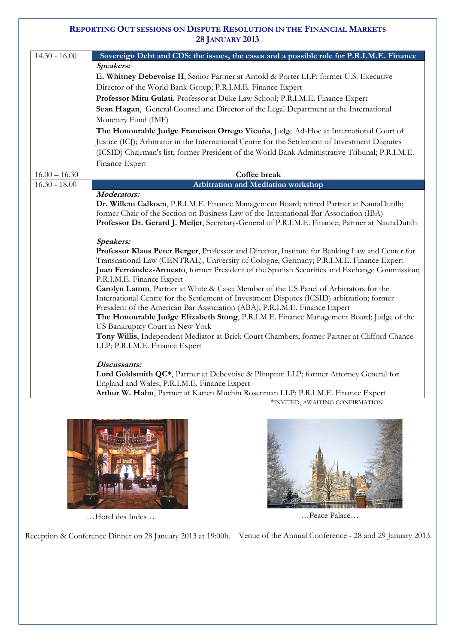# **REPORTING OUT SESSIONS ON DISPUTE RESOLUTION IN THE FINANCIAL MARKETS 28 JANUARY 2013**

| $14.30 - 16.00$ | Sovereign Debt and CDS: the issues, the cases and a possible role for P.R.I.M.E. Finance                                        |
|-----------------|---------------------------------------------------------------------------------------------------------------------------------|
|                 | Speakers:                                                                                                                       |
|                 | E. Whitney Debevoise II, Senior Partner at Arnold & Porter LLP; former U.S. Executive                                           |
|                 | Director of the World Bank Group; P.R.I.M.E. Finance Expert                                                                     |
|                 | Professor Mitu Gulati, Professor at Duke Law School; P.R.I.M.E. Finance Expert                                                  |
|                 | Sean Hagan, General Counsel and Director of the Legal Department at the International                                           |
|                 | Monetary Fund (IMF)                                                                                                             |
|                 | The Honourable Judge Francisco Orrego Vicuña, Judge Ad-Hoc at International Court of                                            |
|                 | Justice (ICJ); Arbitrator in the International Centre for the Settlement of Investment Disputes                                 |
|                 | (ICSID) Chairman's list; former President of the World Bank Administrative Tribunal; P.R.I.M.E.                                 |
|                 | Finance Expert                                                                                                                  |
| $16.00 - 16.30$ | Coffee break                                                                                                                    |
| $16.30 - 18.00$ | <b>Arbitration and Mediation workshop</b>                                                                                       |
|                 | <b>Moderators:</b>                                                                                                              |
|                 | Dr. Willem Calkoen, P.R.I.M.E. Finance Management Board; retired Partner at NautaDutilh;                                        |
|                 | former Chair of the Section on Business Law of the International Bar Association (IBA)                                          |
|                 | Professor Dr. Gerard J. Meijer, Secretary-General of P.R.I.M.E. Finance; Partner at NautaDutilh                                 |
|                 | Speakers:                                                                                                                       |
|                 | Professor Klaus Peter Berger, Professor and Director, Institute for Banking Law and Center for                                  |
|                 | Transnational Law (CENTRAL), University of Cologne, Germany; P.R.I.M.E. Finance Expert                                          |
|                 | Juan Fernández-Armesto, former President of the Spanish Securities and Exchange Commission;                                     |
|                 | P.R.I.M.E. Finance Expert                                                                                                       |
|                 | Carolyn Lamm, Partner at White & Case; Member of the US Panel of Arbitrators for the                                            |
|                 | International Centre for the Settlement of Investment Disputes (ICSID) arbitration; former                                      |
|                 | President of the American Bar Association (ABA); P.R.I.M.E. Finance Expert                                                      |
|                 | The Honourable Judge Elizabeth Stong, P.R.I.M.E. Finance Management Board; Judge of the                                         |
|                 | US Bankruptcy Court in New York<br>Tony Willis, Independent Mediator at Brick Court Chambers; former Partner at Clifford Chance |
|                 | LLP; P.R.I.M.E. Finance Expert                                                                                                  |
|                 |                                                                                                                                 |
|                 | Discussants:                                                                                                                    |
|                 | Lord Goldsmith QC*, Partner at Debevoise & Plimpton LLP; former Attorney General for                                            |
|                 | England and Wales; P.R.I.M.E. Finance Expert                                                                                    |
|                 | Arthur W. Hahn, Partner at Katten Muchin Rosenman LLP; P.R.I.M.E. Finance Expert                                                |
|                 | *INVITED, AWAITING CONFIRMATION                                                                                                 |



…Hotel des Indes… …Peace Palace…



Reception & Conference Dinner on 28 January 2013 at 19:00h. Venue of the Annual Conference - 28 and 29 January 2013.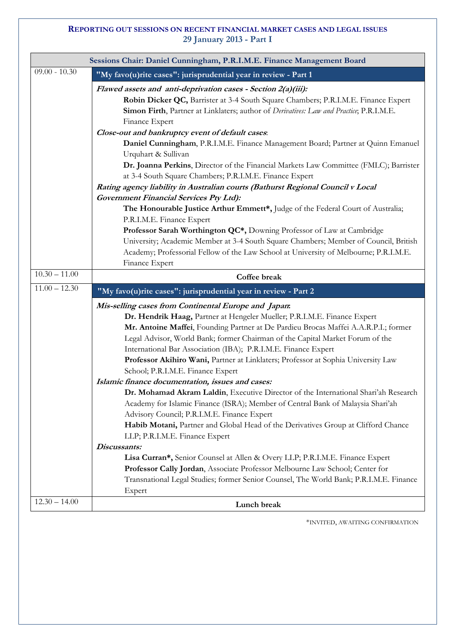# **REPORTING OUT SESSIONS ON RECENT FINANCIAL MARKET CASES AND LEGAL ISSUES 29 January 2013 - Part I**

|                 | Sessions Chair: Daniel Cunningham, P.R.I.M.E. Finance Management Board                                                                                                                                                                                                                                                                                                                                                                                                                                                         |
|-----------------|--------------------------------------------------------------------------------------------------------------------------------------------------------------------------------------------------------------------------------------------------------------------------------------------------------------------------------------------------------------------------------------------------------------------------------------------------------------------------------------------------------------------------------|
| $09.00 - 10.30$ | "My favo(u)rite cases": jurisprudential year in review - Part 1                                                                                                                                                                                                                                                                                                                                                                                                                                                                |
|                 | Flawed assets and anti-deprivation cases - Section 2(a)(iii):<br>Robin Dicker QC, Barrister at 3-4 South Square Chambers; P.R.I.M.E. Finance Expert<br>Simon Firth, Partner at Linklaters; author of Derivatives: Law and Practice; P.R.I.M.E.<br>Finance Expert                                                                                                                                                                                                                                                               |
|                 | Close-out and bankruptcy event of default cases.<br>Daniel Cunningham, P.R.I.M.E. Finance Management Board; Partner at Quinn Emanuel<br>Urquhart & Sullivan<br>Dr. Joanna Perkins, Director of the Financial Markets Law Committee (FMLC); Barrister<br>at 3-4 South Square Chambers; P.R.I.M.E. Finance Expert                                                                                                                                                                                                                |
|                 | Rating agency liability in Australian courts (Bathurst Regional Council v Local<br><b>Government Financial Services Pty Ltd):</b><br>The Honourable Justice Arthur Emmett*, Judge of the Federal Court of Australia;<br>P.R.I.M.E. Finance Expert<br>Professor Sarah Worthington QC*, Downing Professor of Law at Cambridge<br>University; Academic Member at 3-4 South Square Chambers; Member of Council, British<br>Academy; Professorial Fellow of the Law School at University of Melbourne; P.R.I.M.E.<br>Finance Expert |
| $10.30 - 11.00$ | Coffee break                                                                                                                                                                                                                                                                                                                                                                                                                                                                                                                   |
| $11.00 - 12.30$ | "My favo(u)rite cases": jurisprudential year in review - Part 2                                                                                                                                                                                                                                                                                                                                                                                                                                                                |
|                 | Mis-selling cases from Continental Europe and Japan.<br>Dr. Hendrik Haag, Partner at Hengeler Mueller; P.R.I.M.E. Finance Expert<br>Mr. Antoine Maffei, Founding Partner at De Pardieu Brocas Maffei A.A.R.P.I.; former<br>Legal Advisor, World Bank; former Chairman of the Capital Market Forum of the<br>International Bar Association (IBA); P.R.I.M.E. Finance Expert<br>Professor Akihiro Wani, Partner at Linklaters; Professor at Sophia University Law<br>School; P.R.I.M.E. Finance Expert                           |
|                 | Islamic finance documentation, issues and cases:<br><b>Dr. Mohamad Akram Laldin.</b> Executive Director of the International Shari'ah Research<br>Academy for Islamic Finance (ISRA); Member of Central Bank of Malaysia Shari'ah<br>Advisory Council; P.R.I.M.E. Finance Expert<br>Habib Motani, Partner and Global Head of the Derivatives Group at Clifford Chance<br>LLP; P.R.I.M.E. Finance Expert                                                                                                                        |
| $12.30 - 14.00$ | Discussants:<br>Lisa Curran*, Senior Counsel at Allen & Overy LLP; P.R.I.M.E. Finance Expert<br>Professor Cally Jordan, Associate Professor Melbourne Law School; Center for<br>Transnational Legal Studies; former Senior Counsel, The World Bank; P.R.I.M.E. Finance<br>Expert                                                                                                                                                                                                                                               |
|                 | Lunch break                                                                                                                                                                                                                                                                                                                                                                                                                                                                                                                    |

\*INVITED, AWAITING CONFIRMATION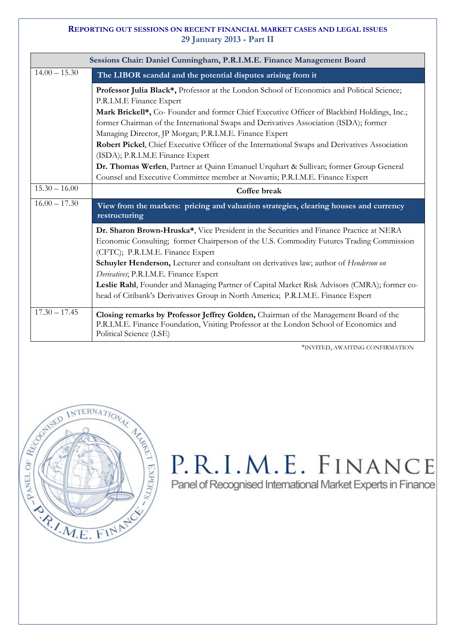# **REPORTING OUT SESSIONS ON RECENT FINANCIAL MARKET CASES AND LEGAL ISSUES 29 January 2013 - Part II**

| Sessions Chair: Daniel Cunningham, P.R.I.M.E. Finance Management Board |                                                                                                                                                                                                                          |  |
|------------------------------------------------------------------------|--------------------------------------------------------------------------------------------------------------------------------------------------------------------------------------------------------------------------|--|
| $14.00 - 15.30$                                                        | The LIBOR scandal and the potential disputes arising from it                                                                                                                                                             |  |
|                                                                        | Professor Julia Black*, Professor at the London School of Economics and Political Science;<br>P.R.I.M.E Finance Expert                                                                                                   |  |
|                                                                        | Mark Brickell*, Co- Founder and former Chief Executive Officer of Blackbird Holdings, Inc.;<br>former Chairman of the International Swaps and Derivatives Association (ISDA); former                                     |  |
|                                                                        | Managing Director, JP Morgan; P.R.I.M.E. Finance Expert<br>Robert Pickel, Chief Executive Officer of the International Swaps and Derivatives Association<br>(ISDA); P.R.I.M.E Finance Expert                             |  |
|                                                                        | Dr. Thomas Werlen, Partner at Quinn Emanuel Urquhart & Sullivan; former Group General<br>Counsel and Executive Committee member at Novartis; P.R.I.M.E. Finance Expert                                                   |  |
| $15.30 - 16.00$                                                        | Coffee break                                                                                                                                                                                                             |  |
| $16.00 - 17.30$                                                        | View from the markets: pricing and valuation strategies, clearing houses and currency<br>restructuring                                                                                                                   |  |
|                                                                        |                                                                                                                                                                                                                          |  |
|                                                                        | Dr. Sharon Brown-Hruska*, Vice President in the Securities and Finance Practice at NERA<br>Economic Consulting; former Chairperson of the U.S. Commodity Futures Trading Commission<br>(CFTC); P.R.I.M.E. Finance Expert |  |
|                                                                        | Schuyler Henderson, Lecturer and consultant on derivatives law; author of Henderson on<br>Derivatives; P.R.I.M.E. Finance Expert                                                                                         |  |
|                                                                        | Leslie Rahl, Founder and Managing Partner of Capital Market Risk Advisors (CMRA); former co-<br>head of Citibank's Derivatives Group in North America; P.R.I.M.E. Finance Expert                                         |  |

\*INVITED, AWAITING CONFIRMATION



# P.R.I.M.E. FINANCE

Panel of Recognised International Market Experts in Finance